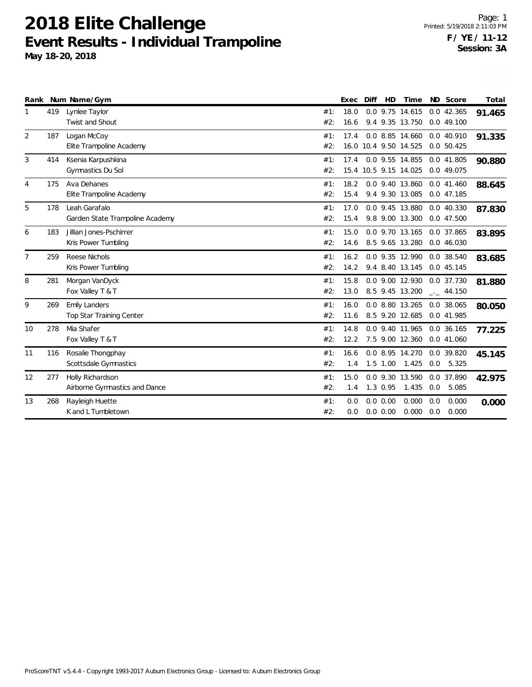|                |     | Rank Num Name/Gym               |     | Exec | Diff | HD         | Time                  |     | ND Score             | Total  |
|----------------|-----|---------------------------------|-----|------|------|------------|-----------------------|-----|----------------------|--------|
| $\mathbf{1}$   | 419 | Lynlee Taylor                   | #1: | 18.0 |      |            | 0.0 9.75 14.615       |     | 0.0 42.365           | 91.465 |
|                |     | Twist and Shout                 | #2: | 16.6 |      |            | 9.4 9.35 13.750       |     | 0.0 49.100           |        |
| 2              | 187 | Logan McCoy                     | #1: | 17.4 |      |            | 0.0 8.85 14.660       |     | 0.0 40.910           | 91.335 |
|                |     | Elite Trampoline Academy        | #2: |      |      |            | 16.0 10.4 9.50 14.525 |     | 0.0 50.425           |        |
| 3              | 414 | Ksenia Karpushkina              | #1: | 17.4 |      |            | 0.0 9.55 14.855       |     | 0.0 41.805           | 90.880 |
|                |     | Gymnastics Du Sol               | #2: |      |      |            | 15.4 10.5 9.15 14.025 |     | 0.0 49.075           |        |
| $\overline{4}$ | 175 | Ava Dehanes                     | #1: | 18.2 |      |            | 0.0 9.40 13.860       |     | 0.0 41.460           | 88.645 |
|                |     | Elite Trampoline Academy        | #2: | 15.4 |      |            | 9.4 9.30 13.085       |     | 0.0 47.185           |        |
| 5              | 178 | Leah Garafalo                   | #1: | 17.0 |      |            | 0.0 9.45 13.880       |     | 0.0 40.330           | 87.830 |
|                |     | Garden State Trampoline Academy | #2: | 15.4 |      |            | 9.8 9.00 13.300       |     | 0.0 47.500           |        |
| 6              | 183 | Jillian Jones-Pschirrer         | #1: | 15.0 |      |            | 0.0 9.70 13.165       |     | 0.0 37.865           | 83.895 |
|                |     | Kris Power Tumbling             | #2: | 14.6 |      |            | 8.5 9.65 13.280       |     | 0.0 46.030           |        |
| 7              | 259 | Reese Nichols                   | #1: | 16.2 |      |            | 0.0 9.35 12.990       |     | 0.0 38.540           | 83.685 |
|                |     | Kris Power Tumbling             | #2: | 14.2 |      |            | 9.4 8.40 13.145       |     | 0.0 45.145           |        |
| 8              | 281 | Morgan VanDyck                  | #1: | 15.8 |      |            | 0.0 9.00 12.930       |     | 0.0 37.730           | 81.880 |
|                |     | Fox Valley T & T                | #2: | 13.0 |      |            | 8.5 9.45 13.200       |     | $\frac{1}{2}$ 44.150 |        |
| 9              | 269 | <b>Emily Landers</b>            | #1: | 16.0 |      |            | 0.0 8.80 13.265       |     | 0.0 38.065           | 80.050 |
|                |     | Top Star Training Center        | #2: | 11.6 |      |            | 8.5 9.20 12.685       |     | 0.0 41.985           |        |
| 10             | 278 | Mia Shafer                      | #1: | 14.8 |      |            | 0.0 9.40 11.965       |     | 0.0 36.165           | 77.225 |
|                |     | Fox Valley T & T                | #2: | 12.2 |      |            | 7.5 9.00 12.360       |     | 0.0 41.060           |        |
| 11             | 116 | Rosalie Thongphay               | #1: | 16.6 |      |            | 0.0 8.95 14.270       |     | 0.0 39.820           | 45.145 |
|                |     | Scottsdale Gymnastics           | #2: | 1.4  |      | $1.5$ 1.00 | 1.425                 |     | 0.0 5.325            |        |
| 12             | 277 | Holly Richardson                | #1: | 15.0 |      |            | 0.0 9.30 13.590       |     | 0.0 37.890           | 42.975 |
|                |     | Airborne Gymnastics and Dance   | #2: | 1.4  |      | 1.3 0.95   | 1.435                 | 0.0 | 5.085                |        |
| 13             | 268 | Rayleigh Huette                 | #1: | 0.0  |      | 0.0 0.00   | 0.000                 | 0.0 | 0.000                | 0.000  |
|                |     | K and L Tumbletown              | #2: | 0.0  |      | 0.0 0.00   | 0.000                 | 0.0 | 0.000                |        |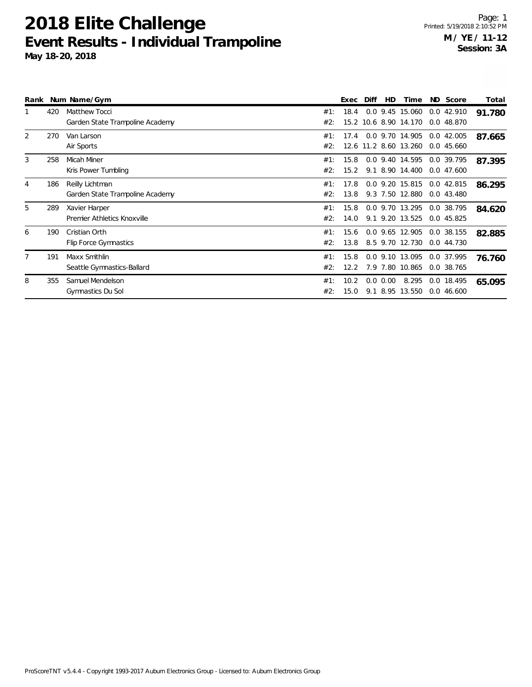|   |     | Rank Num Name/Gym                                       |            | Exec         | Diff | HD                       | Time                                     | ND Score                   | Total  |
|---|-----|---------------------------------------------------------|------------|--------------|------|--------------------------|------------------------------------------|----------------------------|--------|
|   | 420 | <b>Matthew Tocci</b><br>Garden State Trampoline Academy | #1:<br>#2: | 18.4         |      |                          | 0.0 9.45 15.060<br>15.2 10.6 8.90 14.170 | 0.042.910<br>0.0 48.870    | 91.780 |
| 2 | 270 | Van Larson<br>Air Sports                                | #1:<br>#2: | 17.4         |      |                          | 0.0 9.70 14.905<br>12.6 11.2 8.60 13.260 | $0.0$ 42.005<br>0.0 45.660 | 87.665 |
| 3 | 258 | Micah Miner<br>Kris Power Tumbling                      | #1:<br>#2: | 15.8<br>15.2 |      |                          | 0.0 9.40 14.595<br>9.1 8.90 14.400       | 0.0 39.795<br>0.0 47.600   | 87.395 |
| 4 | 186 | Reilly Lichtman<br>Garden State Trampoline Academy      | #1:<br>#2: | 17.8<br>13.8 |      |                          | 0.0 9.20 15.815<br>9.3 7.50 12.880       | 0.0 42.815<br>0.043.480    | 86.295 |
| 5 | 289 | Xavier Harper<br>Premier Athletics Knoxville            | #1:<br>#2: | 15.8<br>14.0 |      |                          | 0.0 9.70 13.295<br>9.1 9.20 13.525       | 0.0 38.795<br>0.045.825    | 84.620 |
| 6 | 190 | Cristian Orth<br>Flip Force Gymnastics                  | #1:<br>#2: | 15.6<br>13.8 |      |                          | 0.0 9.65 12.905<br>8.5 9.70 12.730       | 0.0 38.155<br>0.0 44.730   | 82.885 |
| 7 | 191 | Maxx Smithlin<br>Seattle Gymnastics-Ballard             | #1:<br>#2: | 15.8<br>12.2 |      |                          | 0.0 9.10 13.095<br>7.9 7.80 10.865       | 0.0 37.995<br>0.0 38.765   | 76.760 |
| 8 | 355 | Samuel Mendelson<br>Gymnastics Du Sol                   | #1:<br>#2: | 10.2<br>15.0 |      | $0.0$ $0.00$<br>9.1 8.95 | 8.295<br>13.550                          | 0.0 18.495<br>0.046600     | 65.095 |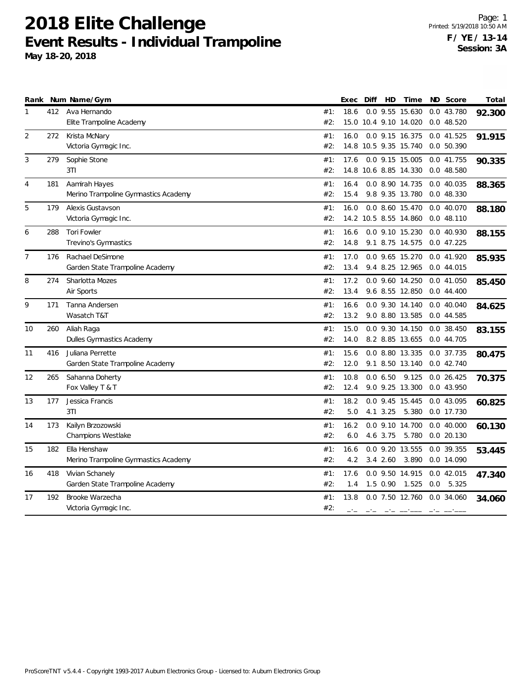|                |     | Rank Num Name/Gym                    |     | Exec | Diff | HD           | Time                               |     | ND Score   | Total  |
|----------------|-----|--------------------------------------|-----|------|------|--------------|------------------------------------|-----|------------|--------|
| 1              | 412 | Ava Hernando                         | #1: | 18.6 |      |              | 0.0 9.55 15.630                    |     | 0.0 43.780 | 92.300 |
|                |     | Elite Trampoline Academy             | #2: |      |      |              | 15.0 10.4 9.10 14.020              |     | 0.0 48.520 |        |
| 2              | 272 | Krista McNary                        | #1: | 16.0 |      |              | 0.0 9.15 16.375                    |     | 0.041.525  | 91.915 |
|                |     | Victoria Gymagic Inc.                | #2: |      |      |              | 14.8 10.5 9.35 15.740              |     | 0.0 50.390 |        |
| 3              | 279 | Sophie Stone                         | #1: | 17.6 |      |              | 0.0 9.15 15.005                    |     | 0.0 41.755 | 90.335 |
|                |     | 3T1                                  | #2: |      |      |              | 14.8 10.6 8.85 14.330              |     | 0.048.580  |        |
| 4              | 181 | Aamirah Hayes                        | #1: | 16.4 |      |              | 0.0 8.90 14.735                    |     | 0.0 40.035 | 88.365 |
|                |     | Merino Trampoline Gymnastics Academy | #2: | 15.4 |      |              | 9.8 9.35 13.780                    |     | 0.0 48.330 |        |
| 5              | 179 | Alexis Gustavson                     | #1: | 16.0 |      |              | 0.0 8.60 15.470                    |     | 0.0 40.070 | 88.180 |
|                |     | Victoria Gymagic Inc.                | #2: |      |      |              | 14.2 10.5 8.55 14.860              |     | 0.048.110  |        |
| 6              | 288 | <b>Tori Fowler</b>                   | #1: | 16.6 |      |              | 0.0 9.10 15.230                    |     | 0.0 40.930 | 88.155 |
|                |     | Trevino's Gymnastics                 | #2: | 14.8 |      |              | 9.1 8.75 14.575                    |     | 0.047.225  |        |
| $\overline{7}$ | 176 | Rachael DeSimone                     | #1: | 17.0 |      |              | 0.0 9.65 15.270                    |     | 0.0 41.920 | 85.935 |
|                |     | Garden State Trampoline Academy      | #2: | 13.4 |      |              | 9.4 8.25 12.965                    |     | 0.0 44.015 |        |
| 8              | 274 | Sharlotta Mozes                      | #1: | 17.2 |      |              | 0.0 9.60 14.250                    |     | 0.0 41.050 | 85.450 |
|                |     | Air Sports                           | #2: | 13.4 |      |              | 9.6 8.55 12.850                    |     | 0.044.400  |        |
| 9              | 171 | Tanna Andersen                       | #1: | 16.6 |      |              | 0.0 9.30 14.140                    |     | 0.040.040  | 84.625 |
|                |     | Wasatch T&T                          | #2: | 13.2 |      |              | 9.0 8.80 13.585                    |     | 0.0 44.585 |        |
| 10             | 260 | Aliah Raga                           | #1: | 15.0 |      |              | 0.0 9.30 14.150                    |     | 0.0 38.450 | 83.155 |
|                |     | Dulles Gymnastics Academy            | #2: | 14.0 |      |              | 8.2 8.85 13.655                    |     | 0.0 44.705 |        |
| 11             | 416 | Juliana Perrette                     | #1: | 15.6 |      |              | 0.0 8.80 13.335                    |     | 0.0 37.735 | 80.475 |
|                |     | Garden State Trampoline Academy      | #2: | 12.0 |      |              | 9.1 8.50 13.140                    |     | 0.042.740  |        |
| 12             | 265 | Sahanna Doherty                      | #1: | 10.8 |      | 0.06.50      | 9.125                              |     | 0.026.425  | 70.375 |
|                |     | Fox Valley T & T                     | #2: | 12.4 |      |              | 9.0 9.25 13.300                    |     | 0.0 43.950 |        |
| 13             | 177 | Jessica Francis                      | #1: | 18.2 |      |              | 0.0 9.45 15.445                    |     | 0.0 43.095 | 60.825 |
|                |     | 3T1                                  | #2: | 5.0  |      | 4.1 3.25     | 5.380                              |     | 0.0 17.730 |        |
| 14             | 173 | Kailyn Brzozowski                    | #1: | 16.2 |      |              | 0.0 9.10 14.700                    |     | 0.040.000  | 60.130 |
|                |     | <b>Champions Westlake</b>            | #2: | 6.0  |      | 4.6 3.75     | 5.780                              |     | 0.0 20.130 |        |
| 15             | 182 | Ella Henshaw                         | #1: | 16.6 |      |              | 0.0 9.20 13.555                    |     | 0.0 39.355 | 53.445 |
|                |     | Merino Trampoline Gymnastics Academy | #2: | 4.2  |      |              | 3.4 2.60 3.890                     |     | 0.0 14.090 |        |
| 16             | 418 | Vivian Schanely                      | #1: | 17.6 |      |              | 0.0 9.50 14.915                    |     | 0.042.015  | 47.340 |
|                |     | Garden State Trampoline Academy      | #2: | 1.4  |      | $1.5 \t0.90$ | 1.525                              | 0.0 | 5.325      |        |
| 17             | 192 | Brooke Warzecha                      | #1: | 13.8 |      |              | 0.0 7.50 12.760                    |     | 0.0 34.060 | 34.060 |
|                |     | Victoria Gymagic Inc.                | #2: |      |      |              | المستنافسين الماضي المنافس المنافس |     | ------     |        |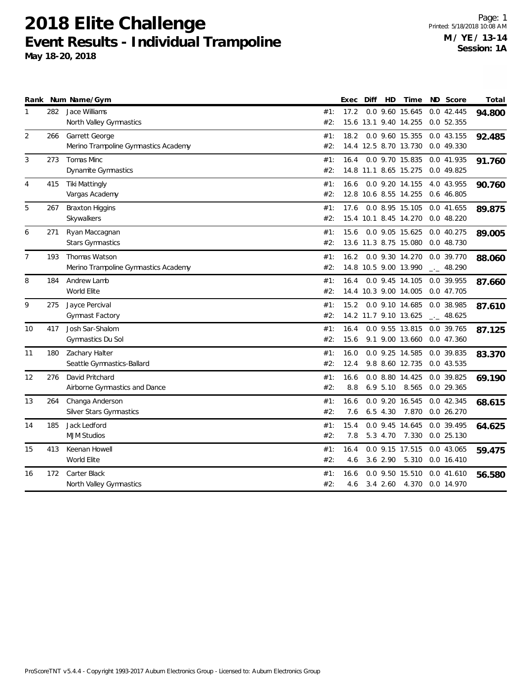|                |     | Rank Num Name/Gym                    |     | Exec | Diff | HD          | Time                  | ND Score             | Total  |
|----------------|-----|--------------------------------------|-----|------|------|-------------|-----------------------|----------------------|--------|
| 1              | 282 | Jace Williams                        | #1: | 17.2 |      |             | 0.0 9.60 15.645       | 0.042.445            | 94.800 |
|                |     | North Valley Gymnastics              | #2: |      |      |             | 15.6 13.1 9.40 14.255 | 0.052.355            |        |
| 2              | 266 | Garrett George                       | #1: | 18.2 |      |             | 0.0 9.60 15.355       | 0.043.155            | 92.485 |
|                |     | Merino Trampoline Gymnastics Academy | #2: |      |      |             | 14.4 12.5 8.70 13.730 | 0.0 49.330           |        |
| 3              | 273 | <b>Tomas Minc</b>                    | #1: | 16.4 |      |             | 0.0 9.70 15.835       | 0.0 41.935           | 91.760 |
|                |     | Dynamite Gymnastics                  | #2: |      |      |             | 14.8 11.1 8.65 15.275 | 0.0 49.825           |        |
| 4              | 415 | <b>Tiki Mattingly</b>                | #1: | 16.6 |      |             | 0.0 9.20 14.155       | 4.0 43.955           | 90.760 |
|                |     | Vargas Academy                       | #2: |      |      |             | 12.8 10.6 8.55 14.255 | 0.6 46.805           |        |
| 5              | 267 | <b>Braxton Higgins</b>               | #1: | 17.6 |      |             | 0.0 8.95 15.105       | 0.0 41.655           | 89.875 |
|                |     | Skywalkers                           | #2: |      |      |             | 15.4 10.1 8.45 14.270 | 0.048.220            |        |
| 6              | 271 | Ryan Maccagnan                       | #1: | 15.6 |      |             | 0.0 9.05 15.625       | 0.0 40.275           | 89.005 |
|                |     | <b>Stars Gymnastics</b>              | #2: |      |      |             | 13.6 11.3 8.75 15.080 | 0.0 48.730           |        |
| $\overline{7}$ | 193 | Thomas Watson                        | #1: | 16.2 |      |             | 0.0 9.30 14.270       | 0.0 39.770           | 88.060 |
|                |     | Merino Trampoline Gymnastics Academy | #2: |      |      |             | 14.8 10.5 9.00 13.990 | $\frac{1}{2}$ 48.290 |        |
| 8              | 184 | Andrew Lamb                          | #1: | 16.4 |      |             | 0.0 9.45 14.105       | 0.0 39.955           | 87.660 |
|                |     | World Elite                          | #2: |      |      |             | 14.4 10.3 9.00 14.005 | 0.0 47.705           |        |
| 9              | 275 | Jayce Percival                       | #1: | 15.2 |      |             | 0.0 9.10 14.685       | 0.0 38.985           | 87.610 |
|                |     | Gymnast Factory                      | #2: |      |      |             | 14.2 11.7 9.10 13.625 | $-2$ 48.625          |        |
| 10             | 417 | Josh Sar-Shalom                      | #1: | 16.4 |      |             | 0.0 9.55 13.815       | 0.0 39.765           | 87.125 |
|                |     | Gymnastics Du Sol                    | #2: | 15.6 |      |             | 9.1 9.00 13.660       | 0.0 47.360           |        |
| 11             | 180 | Zachary Halter                       | #1: | 16.0 |      |             | 0.0 9.25 14.585       | 0.0 39.835           | 83.370 |
|                |     | Seattle Gymnastics-Ballard           | #2: | 12.4 |      |             | 9.8 8.60 12.735       | 0.0 43.535           |        |
| 12             | 276 | David Pritchard                      | #1: | 16.6 |      |             | 0.0 8.80 14.425       | 0.0 39.825           | 69.190 |
|                |     | Airborne Gymnastics and Dance        | #2: | 8.8  |      | $6.9\ 5.10$ | 8.565                 | 0.0 29.365           |        |
| 13             | 264 | Changa Anderson                      | #1: | 16.6 |      |             | 0.0 9.20 16.545       | 0.0 42.345           | 68.615 |
|                |     | Silver Stars Gymnastics              | #2: | 7.6  |      | $6.5$ 4.30  | 7.870                 | 0.026.270            |        |
| 14             | 185 | Jack Ledford                         | #1: | 15.4 |      |             | 0.0 9.45 14.645       | 0.0 39.495           | 64.625 |
|                |     | <b>MJM Studios</b>                   | #2: | 7.8  |      |             | 5.3 4.70 7.330        | $0.0$ 25.130         |        |
| 15             | 413 | Keenan Howell                        | #1: | 16.4 |      |             | 0.0 9.15 17.515       | 0.0 43.065           | 59.475 |
|                |     | World Elite                          | #2: | 4.6  |      | $3.6$ 2.90  | 5.310                 | $0.0$ 16.410         |        |
| 16             | 172 | Carter Black                         | #1: | 16.6 |      |             | 0.0 9.50 15.510       | 0.041.610            | 56.580 |
|                |     | North Valley Gymnastics              | #2: | 4.6  |      |             | 3.4 2.60 4.370        | 0.0 14.970           |        |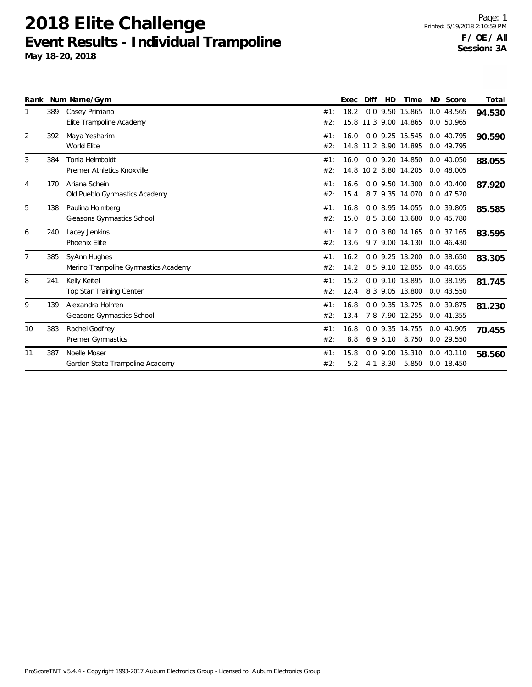|                |     | Rank Num Name/Gym                                    |            | Exec         | Diff | <b>HD</b>   | Time                                     | ND Score                 | Total  |
|----------------|-----|------------------------------------------------------|------------|--------------|------|-------------|------------------------------------------|--------------------------|--------|
|                | 389 | Casey Primiano<br>Elite Trampoline Academy           | #1:<br>#2: | 18.2         |      |             | 0.0 9.50 15.865<br>15.8 11.3 9.00 14.865 | 0.0 43.565<br>0.0 50.965 | 94.530 |
| 2              | 392 | Maya Yesharim<br>World Elite                         | #1:<br>#2: | 16.0         |      |             | 0.0 9.25 15.545<br>14.8 11.2 8.90 14.895 | 0.0 40.795<br>0.0 49.795 | 90.590 |
| 3              | 384 | Tonia Helmboldt<br>Premier Athletics Knoxville       | #1:<br>#2: | 16.0         |      |             | 0.0 9.20 14.850<br>14.8 10.2 8.80 14.205 | 0.0 40.050<br>0.0 48.005 | 88.055 |
| $\overline{4}$ | 170 | Ariana Schein<br>Old Pueblo Gymnastics Academy       | #1:<br>#2: | 16.6<br>15.4 |      |             | 0.0 9.50 14.300<br>8.7 9.35 14.070       | 0.040.400<br>0.0 47.520  | 87.920 |
| 5              | 138 | Paulina Holmberg<br>Gleasons Gymnastics School       | #1:<br>#2: | 16.8<br>15.0 |      |             | 0.0 8.95 14.055<br>8.5 8.60 13.680       | 0.0 39.805<br>0.0 45.780 | 85.585 |
| 6              | 240 | Lacey Jenkins<br>Phoenix Elite                       | #1:<br>#2: | 14.2<br>13.6 |      |             | 0.0 8.80 14.165<br>9.7 9.00 14.130       | 0.0 37.165<br>0.0 46.430 | 83.595 |
| $\overline{7}$ | 385 | SyAnn Hughes<br>Merino Trampoline Gymnastics Academy | #1:<br>#2: | 16.2<br>14.2 |      |             | 0.0 9.25 13.200<br>8.5 9.10 12.855       | 0.0 38.650<br>0.044.655  | 83.305 |
| 8              | 241 | Kelly Keitel<br><b>Top Star Training Center</b>      | #1:<br>#2: | 15.2<br>12.4 |      |             | 0.0 9.10 13.895<br>8.3 9.05 13.800       | 0.0 38.195<br>0.043.550  | 81.745 |
| 9              | 139 | Alexandra Holmen<br>Gleasons Gymnastics School       | #1:<br>#2: | 16.8<br>13.4 |      |             | 0.0 9.35 13.725<br>7.8 7.90 12.255       | 0.0 39.875<br>0.0 41.355 | 81.230 |
| 10             | 383 | Rachel Godfrey<br>Premier Gymnastics                 | #1:<br>#2: | 16.8<br>8.8  |      | $6.9\;5.10$ | 0.0 9.35 14.755<br>8.750                 | 0.0 40.905<br>0.0 29.550 | 70.455 |
| 11             | 387 | Noelle Moser<br>Garden State Trampoline Academy      | #1:<br>#2: | 15.8<br>5.2  |      | 4.1 3.30    | 0.0 9.00 15.310<br>5.850                 | 0.0 40.110<br>0.0 18.450 | 58.560 |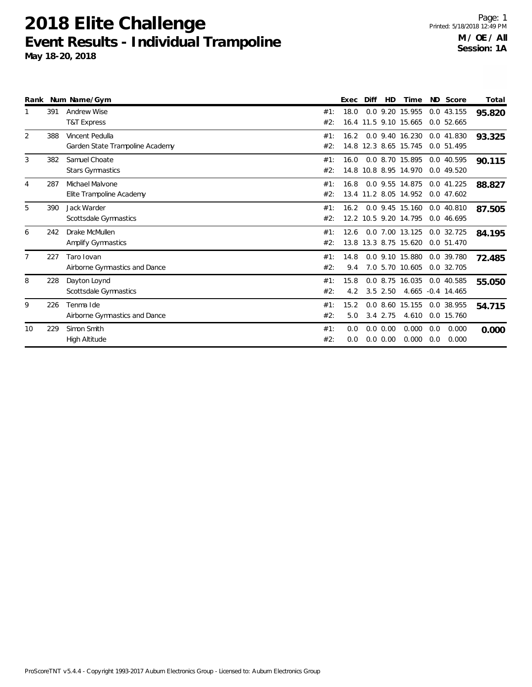|                |     | Rank Num Name/Gym                                  |            | Exec        | Diff | <b>HD</b>                | Time                                     |            | ND Score                        | Total  |
|----------------|-----|----------------------------------------------------|------------|-------------|------|--------------------------|------------------------------------------|------------|---------------------------------|--------|
|                | 391 | <b>Andrew Wise</b><br><b>T&amp;T Express</b>       | #1:<br>#2: | 18.0        |      |                          | 0.0 9.20 15.955<br>16.4 11.5 9.10 15.665 |            | 0.043.155<br>0.052.665          | 95.820 |
| 2              | 388 | Vincent Pedulla<br>Garden State Trampoline Academy | #1:<br>#2: | 16.2        |      |                          | 0.0 9.40 16.230<br>14.8 12.3 8.65 15.745 |            | 0.041.830<br>0.0 51.495         | 93.325 |
| 3              | 382 | Samuel Choate<br><b>Stars Gymnastics</b>           | #1:<br>#2: | 16.0        |      |                          | 0.0 8.70 15.895<br>14.8 10.8 8.95 14.970 |            | 0.0 40.595<br>0.0 49.520        | 90.115 |
| $\overline{4}$ | 287 | Michael Malvone<br>Elite Trampoline Academy        | #1:<br>#2: | 16.8        |      |                          | 0.0 9.55 14.875<br>13.4 11.2 8.05 14.952 |            | 0.041.225<br>0.047602           | 88.827 |
| 5              | 390 | Jack Warder<br>Scottsdale Gymnastics               | #1:<br>#2: | 16.2        |      |                          | 0.0 9.45 15.160<br>12.2 10.5 9.20 14.795 |            | $0.0$ 40.810<br>0.0 46.695      | 87.505 |
| 6              | 242 | Drake McMullen<br>Amplify Gymnastics               | #1:<br>#2: | 12.6        |      |                          | 0.0 7.00 13.125<br>13.8 13.3 8.75 15.620 |            | $0.0$ 32.725<br>0.0 51.470      | 84.195 |
| $\overline{7}$ | 227 | Taro Iovan<br>Airborne Gymnastics and Dance        | #1:<br>#2: | 14.8<br>9.4 |      |                          | 0.0 9.10 15.880<br>7.0 5.70 10.605       |            | 0.0 39.780<br>0.0 32.705        | 72.485 |
| 8              | 228 | Dayton Loynd<br>Scottsdale Gymnastics              | #1:<br>#2: | 15.8<br>4.2 |      | $3.5$ 2.50               | 0.0 8.75 16.035                          |            | 0.0 40.585<br>4.665 -0.4 14.465 | 55.050 |
| 9              | 226 | Tenma Ide<br>Airborne Gymnastics and Dance         | #1:<br>#2: | 15.2<br>5.0 |      | $3.4$ 2.75               | 0.0 8.60 15.155<br>4.610                 |            | 0.0 38.955<br>0.0 15.760        | 54.715 |
| 10             | 229 | Simon Smith<br>High Altitude                       | #1:<br>#2: | 0.0<br>0.0  |      | $0.0$ $0.00$<br>0.0 0.00 | 0.000<br>0.000                           | 0.0<br>0.0 | 0.000<br>0.000                  | 0.000  |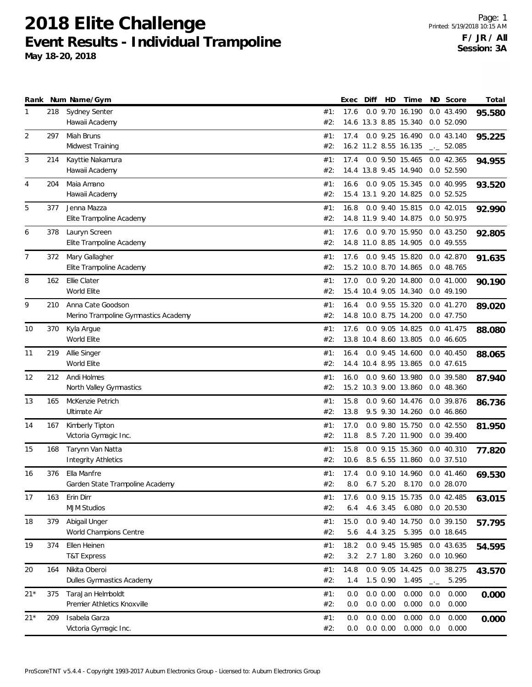|       |     | Rank Num Name/Gym                          |            | Exec | Diff | HD          | Time                                     |                   | ND Score                 | Total  |
|-------|-----|--------------------------------------------|------------|------|------|-------------|------------------------------------------|-------------------|--------------------------|--------|
| 1     | 218 | <b>Sydney Senter</b>                       | #1:        | 17.6 |      |             | 0.0 9.70 16.190                          |                   | 0.0 43.490               | 95.580 |
|       |     | Hawaii Academy                             | #2:        |      |      |             | 14.6 13.3 8.85 15.340                    |                   | 0.0 52.090               |        |
| 2     | 297 | Miah Bruns                                 | #1:        | 17.4 |      |             | 0.0 9.25 16.490                          |                   | 0.0 43.140               | 95.225 |
|       |     | Midwest Training                           | #2:        |      |      |             | 16.2 11.2 8.55 16.135                    |                   | $\frac{1}{2}$ 52.085     |        |
| 3     | 214 | Kayttie Nakamura                           | #1:        | 17.4 |      |             | 0.0 9.50 15.465                          |                   | 0.042.365                | 94.955 |
|       |     | Hawaii Academy                             | #2:        |      |      |             | 14.4 13.8 9.45 14.940                    |                   | 0.0 52.590               |        |
| 4     | 204 | Maia Amano                                 | #1:        | 16.6 |      |             | 0.0 9.05 15.345                          |                   | 0.0 40.995               | 93.520 |
|       |     | Hawaii Academy                             | #2:        |      |      |             | 15.4 13.1 9.20 14.825                    |                   | 0.0 52.525               |        |
| 5     |     | Jenna Mazza                                |            |      |      |             |                                          |                   |                          |        |
|       | 377 | Elite Trampoline Academy                   | #1:<br>#2: | 16.8 |      |             | 0.0 9.40 15.815<br>14.8 11.9 9.40 14.875 |                   | 0.0 42.015<br>0.0 50.975 | 92.990 |
|       |     |                                            |            |      |      |             |                                          |                   |                          |        |
| 6     | 378 | Lauryn Screen                              | #1:        | 17.6 |      |             | 0.0 9.70 15.950                          |                   | 0.043.250                | 92.805 |
|       |     | Elite Trampoline Academy                   | #2:        |      |      |             | 14.8 11.0 8.85 14.905                    |                   | 0.0 49.555               |        |
| 7     | 372 | Mary Gallagher                             | #1:        | 17.6 |      |             | 0.0 9.45 15.820                          |                   | 0.0 42.870               | 91.635 |
|       |     | Elite Trampoline Academy                   | #2:        |      |      |             | 15.2 10.0 8.70 14.865                    |                   | 0.0 48.765               |        |
| 8     | 162 | Ellie Clater                               | #1:        | 17.0 |      |             | 0.0 9.20 14.800                          |                   | 0.041.000                | 90.190 |
|       |     | World Elite                                | #2:        |      |      |             | 15.4 10.4 9.05 14.340                    |                   | 0.0 49.190               |        |
| 9     | 210 | Anna Cate Goodson                          | #1:        | 16.4 |      |             | 0.0 9.55 15.320                          |                   | 0.041.270                | 89.020 |
|       |     | Merino Trampoline Gymnastics Academy       | #2:        |      |      |             | 14.8 10.0 8.75 14.200                    |                   | 0.0 47.750               |        |
| 10    | 370 | Kyla Argue                                 | #1:        | 17.6 |      |             | 0.0 9.05 14.825                          |                   | 0.0 41.475               | 88.080 |
|       |     | World Elite                                | #2:        |      |      |             | 13.8 10.4 8.60 13.805                    |                   | 0.0 46.605               |        |
| 11    | 219 | Allie Singer                               | #1:        | 16.4 |      |             | 0.0 9.45 14.600                          |                   | 0.040.450                | 88.065 |
|       |     | World Elite                                | #2:        |      |      |             | 14.4 10.4 8.95 13.865                    |                   | 0.047.615                |        |
| 12    | 212 | Andi Holmes                                | #1:        | 16.0 |      |             | 0.0 9.60 13.980                          |                   | 0.0 39.580               |        |
|       |     | North Valley Gymnastics                    | #2:        |      |      |             | 15.2 10.3 9.00 13.860                    |                   | 0.0 48.360               | 87.940 |
|       |     |                                            |            |      |      |             |                                          |                   |                          |        |
| 13    | 165 | McKenzie Petrich                           | #1:        | 15.8 |      |             | 0.0 9.60 14.476                          |                   | 0.0 39.876               | 86.736 |
|       |     | Ultimate Air                               | #2:        | 13.8 |      |             | 9.5 9.30 14.260                          |                   | 0.0 46.860               |        |
| 14    | 167 | Kimberly Tipton                            | #1:        | 17.0 |      |             | 0.0 9.80 15.750                          |                   | $0.0$ 42.550             | 81.950 |
|       |     | Victoria Gymagic Inc.                      | #2:        | 11.8 |      |             | 8.5 7.20 11.900                          |                   | 0.0 39.400               |        |
| 15    | 168 | Tarynn Van Natta                           | #1:        | 15.8 |      |             | 0.0 9.15 15.360                          |                   | 0.0 40.310               | 77.820 |
|       |     | <b>Integrity Athletics</b>                 | #2:        | 10.6 |      |             | 8.5 6.55 11.860                          |                   | 0.0 37.510               |        |
| 16    | 376 | Ella Manfre                                | #1:        | 17.4 |      |             | 0.0 9.10 14.960                          |                   | 0.0 41.460               | 69.530 |
|       |     | Garden State Trampoline Academy            | #2:        |      |      |             | 8.0 6.7 5.20 8.170 0.0 28.070            |                   |                          |        |
| 17    | 163 | Erin Dirr                                  | #1:        | 17.6 |      |             | 0.0 9.15 15.735                          |                   | 0.042.485                | 63.015 |
|       |     | <b>MJM Studios</b>                         | #2:        | 6.4  |      | 4.6 3.45    | 6.080                                    |                   | 0.0 20.530               |        |
| 18    | 379 | Abigail Unger                              | #1:        | 15.0 |      |             | 0.0 9.40 14.750                          |                   | 0.0 39.150               | 57.795 |
|       |     | World Champions Centre                     | #2:        | 5.6  |      | 4.4 3.25    | 5.395                                    |                   | 0.0 18.645               |        |
| 19    | 374 | Ellen Heinen                               | #1:        | 18.2 |      |             | 0.0 9.45 15.985                          |                   | 0.0 43.635               |        |
|       |     | <b>T&amp;T Express</b>                     | #2:        | 3.2  |      |             | 2.7 1.80 3.260                           |                   | 0.0 10.960               | 54.595 |
|       |     |                                            |            |      |      |             |                                          |                   |                          |        |
| 20    | 164 | Nikita Oberoi<br>Dulles Gymnastics Academy | #1:        | 14.8 |      |             | 0.0 9.05 14.425                          |                   | 0.0 38.275               | 43.570 |
|       |     |                                            | #2:        | 1.4  |      | 1.5 0.90    | 1.495                                    | $\rightarrow$ $-$ | 5.295                    |        |
| $21*$ | 375 | TaraJan Helmboldt                          | #1:        | 0.0  |      | 0.0 0.00    | 0.000                                    | 0.0               | 0.000                    | 0.000  |
|       |     | Premier Athletics Knoxville                | #2:        | 0.0  |      | 0.0 0.00    | 0.000                                    | 0.0               | 0.000                    |        |
| $21*$ | 209 | Isabela Garza                              | #1:        | 0.0  |      | 0.0 0.00    | 0.000                                    | 0.0               | 0.000                    | 0.000  |
|       |     | Victoria Gymagic Inc.                      | #2:        | 0.0  |      | $0.0\ 0.00$ | 0.000                                    | 0.0               | 0.000                    |        |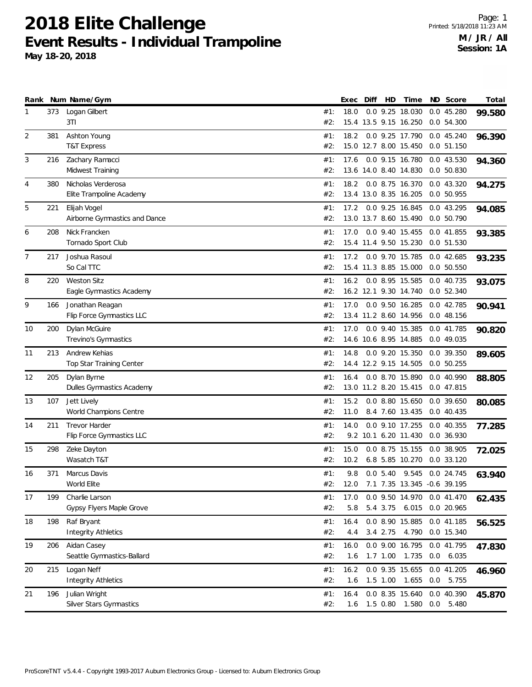|    |     | Rank Num Name/Gym                            |            | Exec | Diff | HD       | Time                                     |     | ND Score                 | Total  |
|----|-----|----------------------------------------------|------------|------|------|----------|------------------------------------------|-----|--------------------------|--------|
| 1  | 373 | Logan Gilbert                                | #1:        | 18.0 |      |          | 0.0 9.25 18.030                          |     | 0.045.280                | 99.580 |
|    |     | 3TI                                          | #2:        |      |      |          | 15.4 13.5 9.15 16.250                    |     | 0.0 54.300               |        |
| 2  | 381 | Ashton Young                                 | #1:        | 18.2 |      |          | 0.0 9.25 17.790                          |     | 0.0 45.240               | 96.390 |
|    |     | <b>T&amp;T Express</b>                       | #2:        |      |      |          | 15.0 12.7 8.00 15.450                    |     | 0.051.150                |        |
| 3  | 216 | Zachary Ramacci                              | #1:        | 17.6 |      |          | 0.0 9.15 16.780                          |     | 0.043.530                | 94.360 |
|    |     | Midwest Training                             | #2:        |      |      |          | 13.6 14.0 8.40 14.830                    |     | 0.050.830                |        |
| 4  | 380 | Nicholas Verderosa                           | #1:        | 18.2 |      |          | 0.0 8.75 16.370                          |     | 0.0 43.320               | 94.275 |
|    |     | Elite Trampoline Academy                     | #2:        |      |      |          | 13.4 13.0 8.35 16.205                    |     | 0.0 50.955               |        |
| 5  | 221 | Elijah Vogel                                 | #1:        | 17.2 |      |          | 0.0 9.25 16.845                          |     | 0.0 43.295               | 94.085 |
|    |     | Airborne Gymnastics and Dance                | #2:        |      |      |          | 13.0 13.7 8.60 15.490                    |     | 0.0 50.790               |        |
| 6  | 208 | Nick Francken                                | #1:        | 17.0 |      |          | 0.0 9.40 15.455                          |     | 0.0 41.855               | 93.385 |
|    |     | Tornado Sport Club                           | #2:        |      |      |          | 15.4 11.4 9.50 15.230                    |     | 0.0 51.530               |        |
| 7  | 217 | Joshua Rasoul                                | #1:        | 17.2 |      |          | 0.0 9.70 15.785                          |     | 0.0 42.685               |        |
|    |     | So Cal TTC                                   | #2:        |      |      |          | 15.4 11.3 8.85 15.000                    |     | 0.0 50.550               | 93.235 |
| 8  | 220 | <b>Weston Sitz</b>                           | #1:        | 16.2 |      |          | 0.0 8.95 15.585                          |     | 0.0 40.735               |        |
|    |     | Eagle Gymnastics Academy                     | #2:        |      |      |          | 16.2 12.1 9.30 14.740                    |     | 0.0 52.340               | 93.075 |
|    |     |                                              |            |      |      |          |                                          |     |                          |        |
| 9  | 166 | Jonathan Reagan<br>Flip Force Gymnastics LLC | #1:<br>#2: | 17.0 |      |          | 0.0 9.50 16.285<br>13.4 11.2 8.60 14.956 |     | 0.042.785<br>0.0 48.156  | 90.941 |
|    |     |                                              |            |      |      |          |                                          |     |                          |        |
| 10 | 200 | Dylan McGuire<br>Trevino's Gymnastics        | #1:<br>#2: | 17.0 |      |          | 0.0 9.40 15.385<br>14.6 10.6 8.95 14.885 |     | 0.0 41.785<br>0.0 49.035 | 90.820 |
|    |     |                                              |            |      |      |          |                                          |     |                          |        |
| 11 | 213 | Andrew Kehias                                | #1:        | 14.8 |      |          | 0.0 9.20 15.350                          |     | 0.0 39.350               | 89.605 |
|    |     | Top Star Training Center                     | #2:        |      |      |          | 14.4 12.2 9.15 14.505                    |     | 0.0 50.255               |        |
| 12 | 205 | Dylan Byrne                                  | #1:        | 16.4 |      |          | 0.0 8.70 15.890                          |     | 0.0 40.990               | 88.805 |
|    |     | Dulles Gymnastics Academy                    | #2:        |      |      |          | 13.0 11.2 8.20 15.415                    |     | 0.0 47.815               |        |
| 13 | 107 | Jett Lively                                  | #1:        | 15.2 |      |          | 0.0 8.80 15.650                          |     | 0.0 39.650               | 80.085 |
|    |     | World Champions Centre                       | #2:        | 11.0 |      |          | 8.4 7.60 13.435                          |     | 0.040.435                |        |
| 14 | 211 | <b>Trevor Harder</b>                         | #1:        | 14.0 |      |          | 0.0 9.10 17.255                          |     | 0.040.355                | 77.285 |
|    |     | Flip Force Gymnastics LLC                    | #2:        |      |      |          | 9.2 10.1 6.20 11.430                     |     | 0.0 36.930               |        |
| 15 | 298 | Zeke Dayton                                  | #1:        | 15.0 |      |          | 0.0 8.75 15.155                          |     | 0.0 38.905               | 72.025 |
|    |     | Wasatch T&T                                  | #2:        | 10.2 |      |          | 6.8 5.85 10.270                          |     | 0.0 33.120               |        |
| 16 | 371 | Marcus Davis                                 | #1:        | 9.8  |      |          | 0.0 5.40 9.545 0.0 24.745                |     |                          | 63.940 |
|    |     | World Elite                                  | #2:        |      |      |          | 12.0 7.1 7.35 13.345 -0.6 39.195         |     |                          |        |
| 17 | 199 | Charlie Larson                               | #1:        | 17.0 |      |          | 0.0 9.50 14.970 0.0 41.470               |     |                          | 62.435 |
|    |     | Gypsy Flyers Maple Grove                     | #2:        | 5.8  |      |          | 5.4 3.75 6.015                           |     | 0.0 20.965               |        |
| 18 | 198 | Raf Bryant                                   | #1:        | 16.4 |      |          | 0.0 8.90 15.885                          |     | 0.0 41.185               | 56.525 |
|    |     | <b>Integrity Athletics</b>                   | #2:        | 4.4  |      | 3.4 2.75 | 4.790                                    |     | 0.0 15.340               |        |
| 19 | 206 | Aidan Casey                                  | #1:        | 16.0 |      |          | 0.0 9.00 16.795                          |     | 0.0 41.795               | 47.830 |
|    |     | Seattle Gymnastics-Ballard                   | #2:        | 1.6  |      |          | 1.7 1.00 1.735                           |     | 0.0 6.035                |        |
| 20 | 215 | Logan Neff                                   | #1:        | 16.2 |      |          | 0.0 9.35 15.655                          |     | 0.0 41.205               | 46.960 |
|    |     | <b>Integrity Athletics</b>                   | #2:        | 1.6  |      |          | 1.5 1.00 1.655                           | 0.0 | 5.755                    |        |
| 21 | 196 | Julian Wright                                | #1:        | 16.4 |      |          | 0.0 8.35 15.640                          |     | 0.0 40.390               | 45.870 |
|    |     | Silver Stars Gymnastics                      | #2:        | 1.6  |      |          | 1.5 0.80 1.580                           | 0.0 | 5.480                    |        |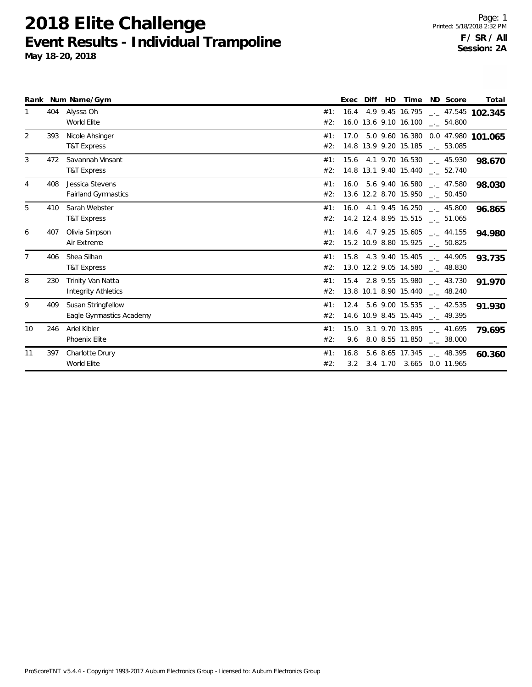|                |     | Rank Num Name/Gym                               |            | Exec        | Diff | HD. | Time                  | ND Score                                                                        | Total  |
|----------------|-----|-------------------------------------------------|------------|-------------|------|-----|-----------------------|---------------------------------------------------------------------------------|--------|
|                | 404 | Alyssa Oh<br>World Elite                        | #1:<br>#2: |             |      |     | 16.0 13.6 9.10 16.100 | 16.4 4.9 9.45 16.795 - 47.545 102.345<br>$\frac{1}{2}$ 54.800                   |        |
| 2              | 393 | Nicole Ahsinger<br><b>T&amp;T Express</b>       | #1:<br>#2: |             |      |     | 14.8 13.9 9.20 15.185 | 17.0 5.0 9.60 16.380 0.0 47.980 101.065<br>$\sim$ 53.085                        |        |
| 3              | 472 | Savannah Vinsant<br>T&T Express                 | #1:<br>#2: |             |      |     |                       | $15.6$ 4.1 9.70 16.530 $\text{---}$ 45.930<br>14.8 13.1 9.40 15.440 __ 52.740   | 98.670 |
| 4              | 408 | Jessica Stevens<br><b>Fairland Gymnastics</b>   | #1:<br>#2: |             |      |     |                       | $16.0$ 5.6 9.40 16.580 $\ldots$ 47.580<br>13.6 12.2 8.70 15.950 __ 50.450       | 98.030 |
| 5              | 410 | Sarah Webster<br><b>T&amp;T Express</b>         | #1:<br>#2: |             |      |     |                       | 16.0 4.1 9.45 16.250 $\text{\_}2$ 45.800<br>14.2 12.4 8.95 15.515 __ 51.065     | 96.865 |
| 6              | 407 | Olivia Simpson<br>Air Extreme                   | #1:<br>#2: |             |      |     |                       | 14.6 4.7 9.25 15.605 __ 44.155<br>15.2 10.9 8.80 15.925 __ 50.825               | 94.980 |
| $\overline{7}$ | 406 | Shea Silhan<br><b>T&amp;T Express</b>           | #1:<br>#2: |             |      |     |                       | 15.8 4.3 9.40 15.405 . 44.905<br>13.0 12.2 9.05 14.580 $\text{\_}2$ 48.830      | 93.735 |
| 8              | 230 | Trinity Van Natta<br><b>Integrity Athletics</b> | #1:<br>#2: |             |      |     | 13.8 10.1 8.90 15.440 | 15.4 2.8 9.55 15.980 __ 43.730<br>$\sim$ 48.240                                 | 91.970 |
| 9              | 409 | Susan Stringfellow<br>Eagle Gymnastics Academy  | #1:<br>#2: |             |      |     |                       | 12.4 5.6 9.00 15.535 . 42.535<br>14.6 10.9 8.45 15.445 $\qquad$ 49.395          | 91.930 |
| 10             | 246 | Ariel Kibler<br>Phoenix Elite                   | #1:<br>#2: |             |      |     |                       | 15.0 3.1 9.70 13.895 __ 41.695<br>9.6 8.0 8.55 11.850 $\qquad \qquad -2.38.000$ | 79.695 |
| 11             | 397 | Charlotte Drury<br>World Elite                  | #1:<br>#2: | 16.8<br>3.2 |      |     |                       | 5.6 8.65 17.345 $-.$ 48.395<br>3.4 1.70 3.665 0.0 11.965                        | 60.360 |